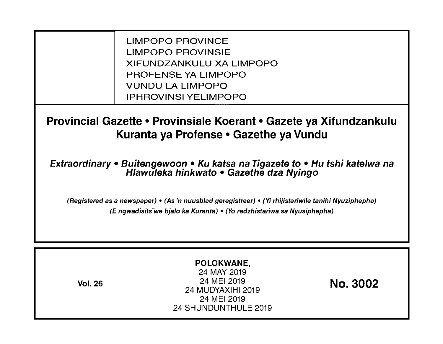LIMPOPO PROVINCE LIMPOPO PROVINSIE XIFUNDZANKULU XA LIMPOPO PROFENSE YA LIMPOPO VUNDU LA LIMPOPO IPHROVINSI YELIMPOPO

**Provincial Gazette • Provinsiale Koerant • Gazete ya Xifundzankulu Kuranta ya Profense • Gazethe ya Vundu** 

**Extraordinary • Buitengewoon • Ku katsa na Tigazete to • Hu tshi katelwa na Hlawuleka hinkwato • Gazethe dza Nyingo** 

(Registered as a newspaper) • (As 'n nuusblad geregistreer) • (Yi rhijistariwile tanihi Nyuziphepha) (E ngwadisitsVwe bjalo ka Kuranta) • (Yo redzhistariwa sa Nyusiphepha)

| <b>Vol. 26</b> | POLOKWANE,<br>24 MAY 2019<br>24 MEI 2019<br>24 MUDYAXIHI 2019<br>24 MEI 2019<br>24 SHUNDUNTHULE 2019 | <b>No. 3002</b> |
|----------------|------------------------------------------------------------------------------------------------------|-----------------|
|----------------|------------------------------------------------------------------------------------------------------|-----------------|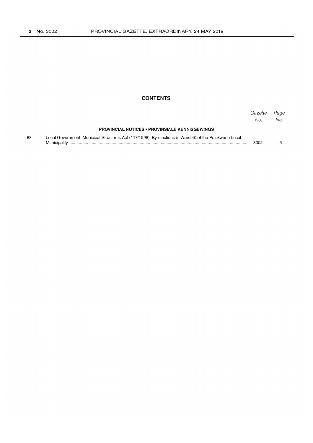## **CONTENTS**

|    |                                                                                                       | Gazette<br>No. | Page<br>No. |
|----|-------------------------------------------------------------------------------------------------------|----------------|-------------|
|    | <b>PROVINCIAL NOTICES • PROVINSIALE KENNISGEWINGS</b>                                                 |                |             |
| 83 | Local Government: Municipal Structures Act (117/1998): By-elections in Ward 40 of the Polokwane Local | 3002           |             |